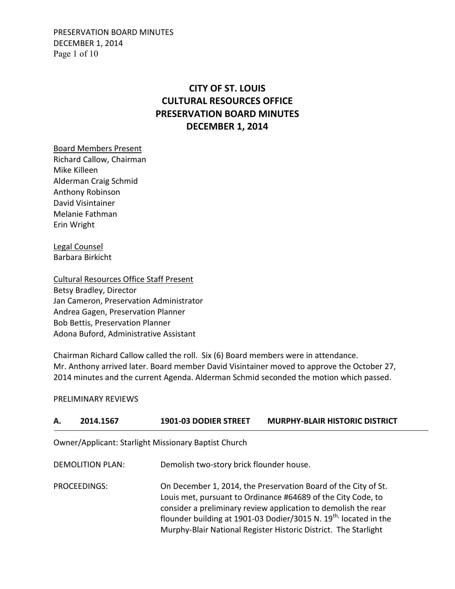PRESERVATION BOARD MINUTES DECEMBER 1, 2014 Page 1 of 10

# **CITY OF ST. LOUIS CULTURAL RESOURCES OFFICE PRESERVATION BOARD MINUTES DECEMBER 1, 2014**

Board Members Present Richard Callow, Chairman Mike Killeen Alderman Craig Schmid Anthony Robinson David Visintainer Melanie Fathman Erin Wright

Legal Counsel Barbara Birkicht

Cultural Resources Office Staff Present Betsy Bradley, Director Jan Cameron, Preservation Administrator Andrea Gagen, Preservation Planner Bob Bettis, Preservation Planner Adona Buford, Administrative Assistant

Chairman Richard Callow called the roll. Six (6) Board members were in attendance. Mr. Anthony arrived later. Board member David Visintainer moved to approve the October 27, 2014 minutes and the current Agenda. Alderman Schmid seconded the motion which passed.

#### PRELIMINARY REVIEWS

| А. | 2014.1567               | <b>1901-03 DODIER STREET</b>                                | <b>MURPHY-BLAIR HISTORIC DISTRICT</b>                                                                                                                                                                                                                                                                                                               |
|----|-------------------------|-------------------------------------------------------------|-----------------------------------------------------------------------------------------------------------------------------------------------------------------------------------------------------------------------------------------------------------------------------------------------------------------------------------------------------|
|    |                         | <b>Owner/Applicant: Starlight Missionary Baptist Church</b> |                                                                                                                                                                                                                                                                                                                                                     |
|    | <b>DEMOLITION PLAN:</b> | Demolish two-story brick flounder house.                    |                                                                                                                                                                                                                                                                                                                                                     |
|    | PROCEEDINGS:            |                                                             | On December 1, 2014, the Preservation Board of the City of St.<br>Louis met, pursuant to Ordinance #64689 of the City Code, to<br>consider a preliminary review application to demolish the rear<br>flounder building at 1901-03 Dodier/3015 N. 19 <sup>th,</sup> located in the<br>Murphy-Blair National Register Historic District. The Starlight |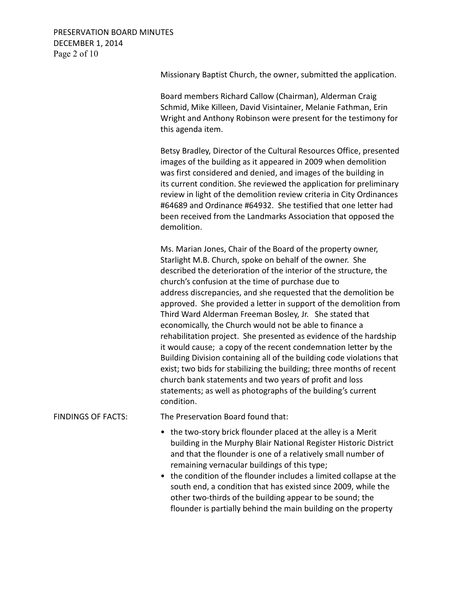# PRESERVATION BOARD MINUTES DECEMBER 1, 2014 Page 2 of 10

Missionary Baptist Church, the owner, submitted the application.

 Board members Richard Callow (Chairman), Alderman Craig Schmid, Mike Killeen, David Visintainer, Melanie Fathman, Erin Wright and Anthony Robinson were present for the testimony for this agenda item.

 Betsy Bradley, Director of the Cultural Resources Office, presented images of the building as it appeared in 2009 when demolition was first considered and denied, and images of the building in its current condition. She reviewed the application for preliminary review in light of the demolition review criteria in City Ordinances #64689 and Ordinance #64932. She testified that one letter had been received from the Landmarks Association that opposed the demolition.

 Ms. Marian Jones, Chair of the Board of the property owner, Starlight M.B. Church, spoke on behalf of the owner. She described the deterioration of the interior of the structure, the church's confusion at the time of purchase due to address discrepancies, and she requested that the demolition be approved. She provided a letter in support of the demolition from Third Ward Alderman Freeman Bosley, Jr. She stated that economically, the Church would not be able to finance a rehabilitation project. She presented as evidence of the hardship it would cause; a copy of the recent condemnation letter by the Building Division containing all of the building code violations that exist; two bids for stabilizing the building; three months of recent church bank statements and two years of profit and loss statements; as well as photographs of the building's current condition.

# FINDINGS OF FACTS: The Preservation Board found that:

- the two-story brick flounder placed at the alley is a Merit building in the Murphy Blair National Register Historic District and that the flounder is one of a relatively small number of remaining vernacular buildings of this type;
- the condition of the flounder includes a limited collapse at the south end, a condition that has existed since 2009, while the other two-thirds of the building appear to be sound; the flounder is partially behind the main building on the property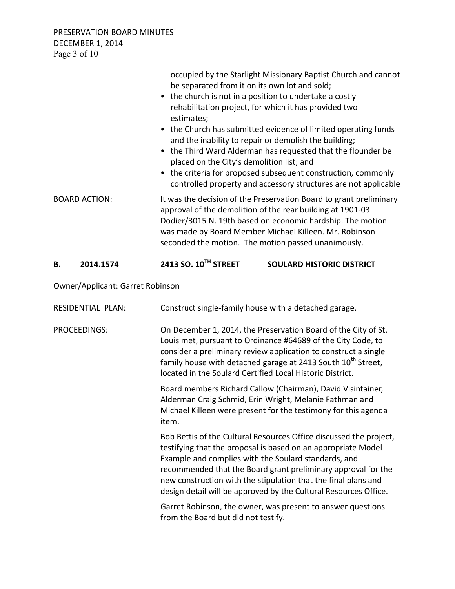PRESERVATION BOARD MINUTES DECEMBER 1, 2014 Page 3 of 10

| В.<br>2014.1574      | 2413 SO. 10 <sup>TH</sup> STREET                                                                                                                                                                                                                                                                                                                                                                                                                                                         | <b>SOULARD HISTORIC DISTRICT</b>                                                                                                  |
|----------------------|------------------------------------------------------------------------------------------------------------------------------------------------------------------------------------------------------------------------------------------------------------------------------------------------------------------------------------------------------------------------------------------------------------------------------------------------------------------------------------------|-----------------------------------------------------------------------------------------------------------------------------------|
| <b>BOARD ACTION:</b> | It was the decision of the Preservation Board to grant preliminary<br>approval of the demolition of the rear building at 1901-03<br>Dodier/3015 N. 19th based on economic hardship. The motion<br>was made by Board Member Michael Killeen. Mr. Robinson<br>seconded the motion. The motion passed unanimously.                                                                                                                                                                          |                                                                                                                                   |
|                      | be separated from it on its own lot and sold;<br>• the church is not in a position to undertake a costly<br>rehabilitation project, for which it has provided two<br>estimates;<br>• the Church has submitted evidence of limited operating funds<br>and the inability to repair or demolish the building;<br>• the Third Ward Alderman has requested that the flounder be<br>placed on the City's demolition list; and<br>• the criteria for proposed subsequent construction, commonly | occupied by the Starlight Missionary Baptist Church and cannot<br>controlled property and accessory structures are not applicable |

# Owner/Applicant: Garret Robinson

| <b>RESIDENTIAL PLAN:</b> | Construct single-family house with a detached garage.                                                                                                                                                                                                                                                                                                                                              |
|--------------------------|----------------------------------------------------------------------------------------------------------------------------------------------------------------------------------------------------------------------------------------------------------------------------------------------------------------------------------------------------------------------------------------------------|
| PROCEEDINGS:             | On December 1, 2014, the Preservation Board of the City of St.<br>Louis met, pursuant to Ordinance #64689 of the City Code, to<br>consider a preliminary review application to construct a single<br>family house with detached garage at 2413 South 10 <sup>th</sup> Street,<br>located in the Soulard Certified Local Historic District.                                                         |
|                          | Board members Richard Callow (Chairman), David Visintainer,<br>Alderman Craig Schmid, Erin Wright, Melanie Fathman and<br>Michael Killeen were present for the testimony for this agenda<br>item.                                                                                                                                                                                                  |
|                          | Bob Bettis of the Cultural Resources Office discussed the project,<br>testifying that the proposal is based on an appropriate Model<br>Example and complies with the Soulard standards, and<br>recommended that the Board grant preliminary approval for the<br>new construction with the stipulation that the final plans and<br>design detail will be approved by the Cultural Resources Office. |
|                          | Garret Robinson, the owner, was present to answer questions<br>from the Board but did not testify.                                                                                                                                                                                                                                                                                                 |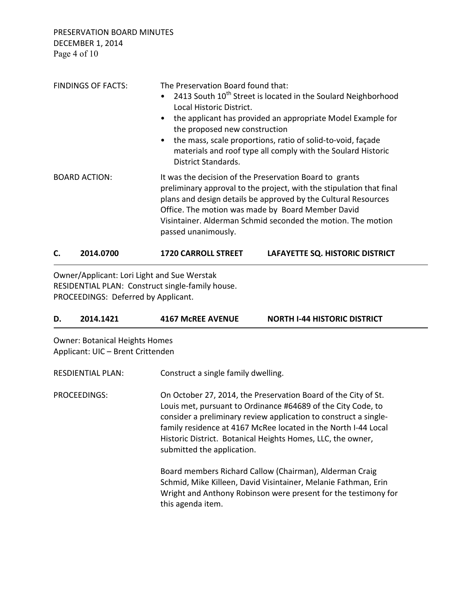PRESERVATION BOARD MINUTES DECEMBER 1, 2014 Page 4 of 10

| <b>FINDINGS OF FACTS:</b> | The Preservation Board found that:<br>2413 South $10^{th}$ Street is located in the Soulard Neighborhood<br>Local Historic District.<br>the applicant has provided an appropriate Model Example for<br>$\bullet$<br>the proposed new construction<br>the mass, scale proportions, ratio of solid-to-void, façade<br>$\bullet$<br>materials and roof type all comply with the Soulard Historic<br><b>District Standards.</b> |
|---------------------------|-----------------------------------------------------------------------------------------------------------------------------------------------------------------------------------------------------------------------------------------------------------------------------------------------------------------------------------------------------------------------------------------------------------------------------|
| <b>BOARD ACTION:</b>      | It was the decision of the Preservation Board to grants<br>preliminary approval to the project, with the stipulation that final<br>plans and design details be approved by the Cultural Resources<br>Office. The motion was made by Board Member David<br>Visintainer. Alderman Schmid seconded the motion. The motion<br>passed unanimously.                                                                               |

# **C. 2014.0700 1720 CARROLL STREET LAFAYETTE SQ. HISTORIC DISTRICT**

Owner/Applicant: Lori Light and Sue Werstak RESIDENTIAL PLAN: Construct single-family house. PROCEEDINGS: Deferred by Applicant.

# **D. 2014.1421 4167 McREE AVENUE NORTH I-44 HISTORIC DISTRICT**

Owner: Botanical Heights Homes Applicant: UIC – Brent Crittenden

| <b>RESDIENTIAL PLAN:</b> | Construct a single family dwelling.                                                                                                                                                                                                                                                                                                                               |
|--------------------------|-------------------------------------------------------------------------------------------------------------------------------------------------------------------------------------------------------------------------------------------------------------------------------------------------------------------------------------------------------------------|
| PROCEEDINGS:             | On October 27, 2014, the Preservation Board of the City of St.<br>Louis met, pursuant to Ordinance #64689 of the City Code, to<br>consider a preliminary review application to construct a single-<br>family residence at 4167 McRee located in the North I-44 Local<br>Historic District. Botanical Heights Homes, LLC, the owner,<br>submitted the application. |
|                          | Board members Richard Callow (Chairman), Alderman Craig<br>Schmid, Mike Killeen, David Visintainer, Melanie Fathman, Erin<br>Wright and Anthony Robinson were present for the testimony for<br>this agenda item.                                                                                                                                                  |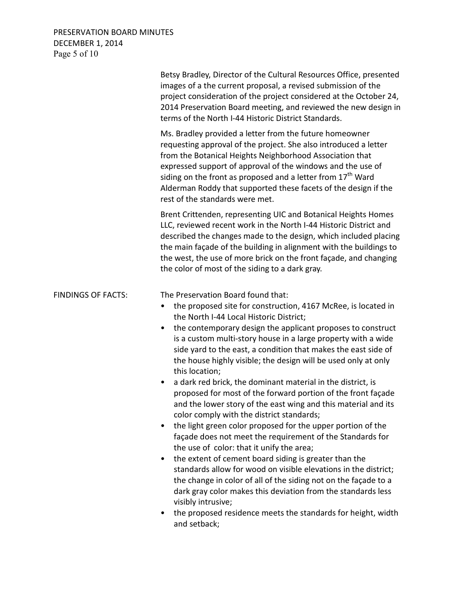# PRESERVATION BOARD MINUTES DECEMBER 1, 2014 Page 5 of 10

|                           | Betsy Bradley, Director of the Cultural Resources Office, presented<br>images of a the current proposal, a revised submission of the<br>project consideration of the project considered at the October 24,<br>2014 Preservation Board meeting, and reviewed the new design in<br>terms of the North I-44 Historic District Standards.                                                                                                                                                                                                                                                                                                                                                                                                                                                                                                                                                                                                                                                                                                                                                                                                                                                                                                                                        |
|---------------------------|------------------------------------------------------------------------------------------------------------------------------------------------------------------------------------------------------------------------------------------------------------------------------------------------------------------------------------------------------------------------------------------------------------------------------------------------------------------------------------------------------------------------------------------------------------------------------------------------------------------------------------------------------------------------------------------------------------------------------------------------------------------------------------------------------------------------------------------------------------------------------------------------------------------------------------------------------------------------------------------------------------------------------------------------------------------------------------------------------------------------------------------------------------------------------------------------------------------------------------------------------------------------------|
|                           | Ms. Bradley provided a letter from the future homeowner<br>requesting approval of the project. She also introduced a letter<br>from the Botanical Heights Neighborhood Association that<br>expressed support of approval of the windows and the use of<br>siding on the front as proposed and a letter from 17 <sup>th</sup> Ward<br>Alderman Roddy that supported these facets of the design if the<br>rest of the standards were met.                                                                                                                                                                                                                                                                                                                                                                                                                                                                                                                                                                                                                                                                                                                                                                                                                                      |
|                           | Brent Crittenden, representing UIC and Botanical Heights Homes<br>LLC, reviewed recent work in the North I-44 Historic District and<br>described the changes made to the design, which included placing<br>the main façade of the building in alignment with the buildings to<br>the west, the use of more brick on the front façade, and changing<br>the color of most of the siding to a dark gray.                                                                                                                                                                                                                                                                                                                                                                                                                                                                                                                                                                                                                                                                                                                                                                                                                                                                        |
| <b>FINDINGS OF FACTS:</b> | The Preservation Board found that:<br>the proposed site for construction, 4167 McRee, is located in<br>$\bullet$<br>the North I-44 Local Historic District;<br>the contemporary design the applicant proposes to construct<br>$\bullet$<br>is a custom multi-story house in a large property with a wide<br>side yard to the east, a condition that makes the east side of<br>the house highly visible; the design will be used only at only<br>this location;<br>a dark red brick, the dominant material in the district, is<br>$\bullet$<br>proposed for most of the forward portion of the front façade<br>and the lower story of the east wing and this material and its<br>color comply with the district standards;<br>the light green color proposed for the upper portion of the<br>façade does not meet the requirement of the Standards for<br>the use of color: that it unify the area;<br>the extent of cement board siding is greater than the<br>٠<br>standards allow for wood on visible elevations in the district;<br>the change in color of all of the siding not on the façade to a<br>dark gray color makes this deviation from the standards less<br>visibly intrusive;<br>the proposed residence meets the standards for height, width<br>and setback; |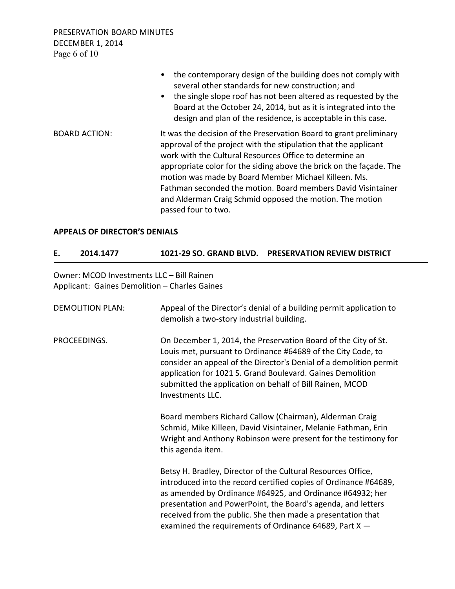PRESERVATION BOARD MINUTES DECEMBER 1, 2014 Page 6 of 10

|                      | • the contemporary design of the building does not comply with<br>several other standards for new construction; and<br>the single slope roof has not been altered as requested by the<br>$\bullet$<br>Board at the October 24, 2014, but as it is integrated into the<br>design and plan of the residence, is acceptable in this case.                                                                                                                                             |
|----------------------|------------------------------------------------------------------------------------------------------------------------------------------------------------------------------------------------------------------------------------------------------------------------------------------------------------------------------------------------------------------------------------------------------------------------------------------------------------------------------------|
| <b>BOARD ACTION:</b> | It was the decision of the Preservation Board to grant preliminary<br>approval of the project with the stipulation that the applicant<br>work with the Cultural Resources Office to determine an<br>appropriate color for the siding above the brick on the facade. The<br>motion was made by Board Member Michael Killeen. Ms.<br>Fathman seconded the motion. Board members David Visintainer<br>and Alderman Craig Schmid opposed the motion. The motion<br>passed four to two. |

#### **APPEALS OF DIRECTOR'S DENIALS**

# **E. 2014.1477 1021-29 SO. GRAND BLVD. PRESERVATION REVIEW DISTRICT**

Owner: MCOD Investments LLC – Bill Rainen Applicant: Gaines Demolition – Charles Gaines

| <b>DEMOLITION PLAN:</b> | Appeal of the Director's denial of a building permit application to<br>demolish a two-story industrial building.                                                                                                                                                                                                                                                                       |
|-------------------------|----------------------------------------------------------------------------------------------------------------------------------------------------------------------------------------------------------------------------------------------------------------------------------------------------------------------------------------------------------------------------------------|
| PROCEEDINGS.            | On December 1, 2014, the Preservation Board of the City of St.<br>Louis met, pursuant to Ordinance #64689 of the City Code, to<br>consider an appeal of the Director's Denial of a demolition permit<br>application for 1021 S. Grand Boulevard. Gaines Demolition<br>submitted the application on behalf of Bill Rainen, MCOD<br>Investments LLC.                                     |
|                         | Board members Richard Callow (Chairman), Alderman Craig<br>Schmid, Mike Killeen, David Visintainer, Melanie Fathman, Erin<br>Wright and Anthony Robinson were present for the testimony for<br>this agenda item.                                                                                                                                                                       |
|                         | Betsy H. Bradley, Director of the Cultural Resources Office,<br>introduced into the record certified copies of Ordinance #64689,<br>as amended by Ordinance #64925, and Ordinance #64932; her<br>presentation and PowerPoint, the Board's agenda, and letters<br>received from the public. She then made a presentation that<br>examined the requirements of Ordinance 64689, Part X - |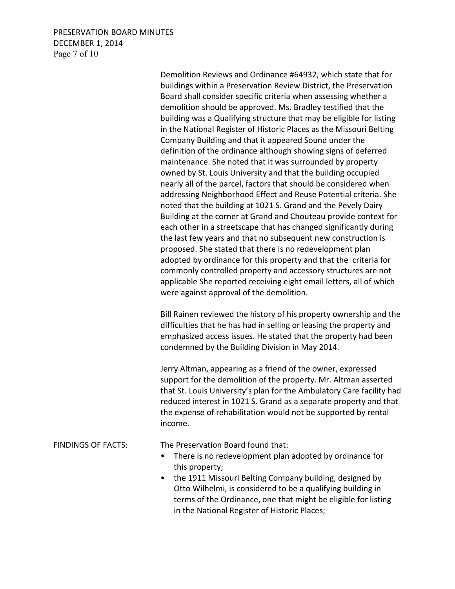# PRESERVATION BOARD MINUTES DECEMBER 1, 2014 Page 7 of 10

 Demolition Reviews and Ordinance #64932, which state that for buildings within a Preservation Review District, the Preservation Board shall consider specific criteria when assessing whether a demolition should be approved. Ms. Bradley testified that the building was a Qualifying structure that may be eligible for listing in the National Register of Historic Places as the Missouri Belting Company Building and that it appeared Sound under the definition of the ordinance although showing signs of deferred maintenance. She noted that it was surrounded by property owned by St. Louis University and that the building occupied nearly all of the parcel, factors that should be considered when addressing Neighborhood Effect and Reuse Potential criteria. She noted that the building at 1021 S. Grand and the Pevely Dairy Building at the corner at Grand and Chouteau provide context for each other in a streetscape that has changed significantly during the last few years and that no subsequent new construction is proposed. She stated that there is no redevelopment plan adopted by ordinance for this property and that the criteria for commonly controlled property and accessory structures are not applicable She reported receiving eight email letters, all of which were against approval of the demolition.

 Bill Rainen reviewed the history of his property ownership and the difficulties that he has had in selling or leasing the property and emphasized access issues. He stated that the property had been condemned by the Building Division in May 2014.

 Jerry Altman, appearing as a friend of the owner, expressed support for the demolition of the property. Mr. Altman asserted that St. Louis University's plan for the Ambulatory Care facility had reduced interest in 1021 S. Grand as a separate property and that the expense of rehabilitation would not be supported by rental income.

FINDINGS OF FACTS: The Preservation Board found that:

- There is no redevelopment plan adopted by ordinance for this property;
- the 1911 Missouri Belting Company building, designed by Otto Wilhelmi, is considered to be a qualifying building in terms of the Ordinance, one that might be eligible for listing in the National Register of Historic Places;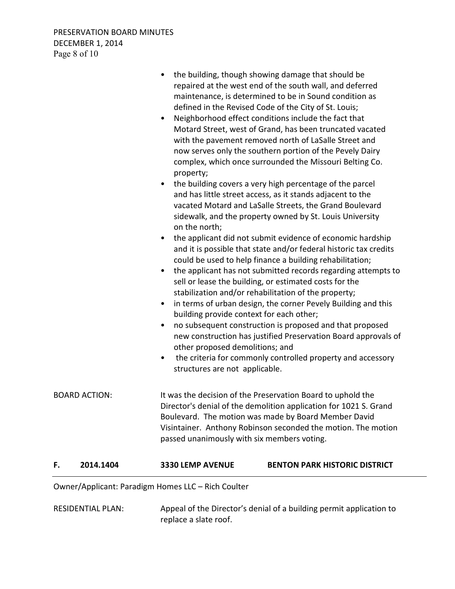RESIDENTIAL PLAN: Appeal of the Director's denial of a building permit application to replace a slate roof.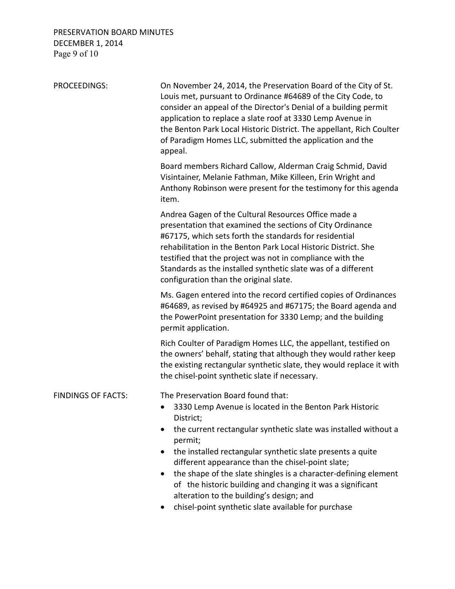# PRESERVATION BOARD MINUTES DECEMBER 1, 2014 Page 9 of 10

| PROCEEDINGS:              | On November 24, 2014, the Preservation Board of the City of St.<br>Louis met, pursuant to Ordinance #64689 of the City Code, to<br>consider an appeal of the Director's Denial of a building permit<br>application to replace a slate roof at 3330 Lemp Avenue in<br>the Benton Park Local Historic District. The appellant, Rich Coulter<br>of Paradigm Homes LLC, submitted the application and the<br>appeal.                                                                                                                                             |
|---------------------------|--------------------------------------------------------------------------------------------------------------------------------------------------------------------------------------------------------------------------------------------------------------------------------------------------------------------------------------------------------------------------------------------------------------------------------------------------------------------------------------------------------------------------------------------------------------|
|                           | Board members Richard Callow, Alderman Craig Schmid, David<br>Visintainer, Melanie Fathman, Mike Killeen, Erin Wright and<br>Anthony Robinson were present for the testimony for this agenda<br>item.                                                                                                                                                                                                                                                                                                                                                        |
|                           | Andrea Gagen of the Cultural Resources Office made a<br>presentation that examined the sections of City Ordinance<br>#67175, which sets forth the standards for residential<br>rehabilitation in the Benton Park Local Historic District. She<br>testified that the project was not in compliance with the<br>Standards as the installed synthetic slate was of a different<br>configuration than the original slate.                                                                                                                                        |
|                           | Ms. Gagen entered into the record certified copies of Ordinances<br>#64689, as revised by #64925 and #67175; the Board agenda and<br>the PowerPoint presentation for 3330 Lemp; and the building<br>permit application.                                                                                                                                                                                                                                                                                                                                      |
|                           | Rich Coulter of Paradigm Homes LLC, the appellant, testified on<br>the owners' behalf, stating that although they would rather keep<br>the existing rectangular synthetic slate, they would replace it with<br>the chisel-point synthetic slate if necessary.                                                                                                                                                                                                                                                                                                |
| <b>FINDINGS OF FACTS:</b> | The Preservation Board found that:<br>3330 Lemp Avenue is located in the Benton Park Historic<br>District;<br>the current rectangular synthetic slate was installed without a<br>permit;<br>the installed rectangular synthetic slate presents a quite<br>different appearance than the chisel-point slate;<br>the shape of the slate shingles is a character-defining element<br>$\bullet$<br>of the historic building and changing it was a significant<br>alteration to the building's design; and<br>chisel-point synthetic slate available for purchase |